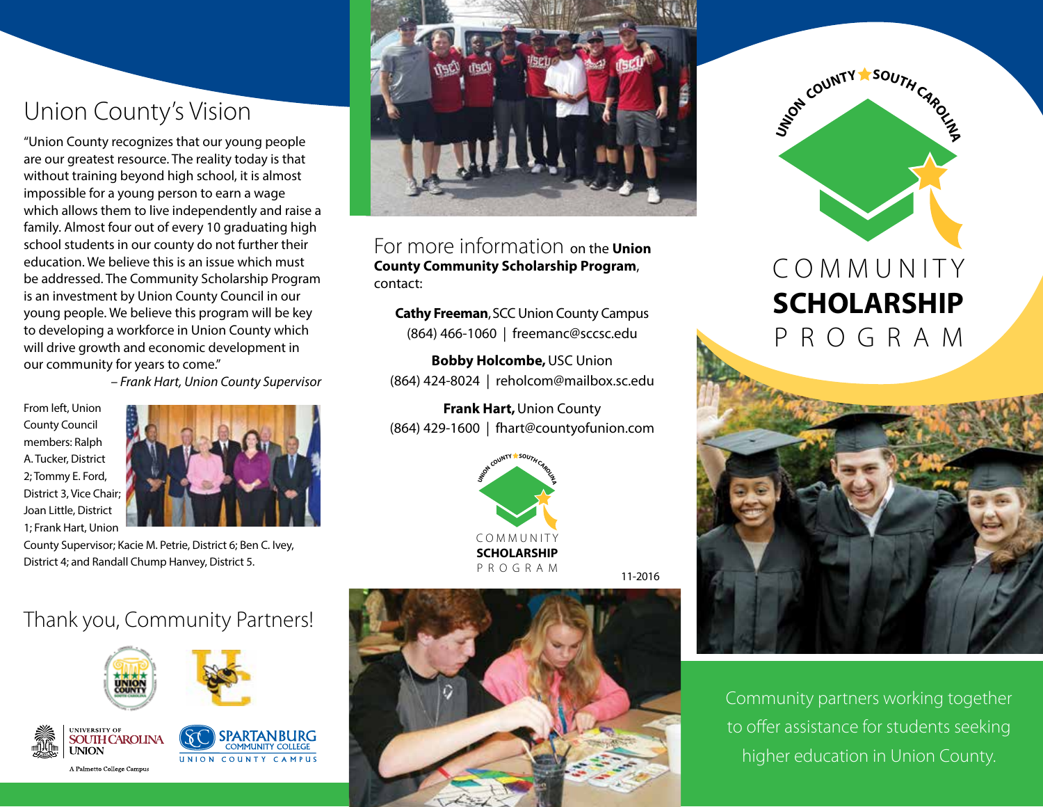## Union County's Vision

"Union County recognizes that our young people are our greatest resource. The reality today is that without training beyond high school, it is almost impossible for a young person to earn a wage which allows them to live independently and raise a family. Almost four out of every 10 graduating high school students in our county do not further their education. We believe this is an issue which must be addressed. The Community Scholarship Program is an investment by Union County Council in our young people. We believe this program will be key to developing a workforce in Union County which will drive growth and economic development in our community for years to come."

*– Frank Hart, Union County Supervisor*

From left, Union County Council members: Ralph A. Tucker, District 2; Tommy E. Ford, District 3, Vice Chair; Joan Little, District 1; Frank Hart, Union



County Supervisor; Kacie M. Petrie, District 6; Ben C. Ivey, District 4; and Randall Chump Hanvey, District 5.



For more information on the **Union County Community Scholarship Program**, contact:

**Cathy Freeman**, SCC Union County Campus (864) 466-1060 | freemanc@sccsc.edu

**Bobby Holcombe,** USC Union (864) 424-8024 | reholcom@mailbox.sc.edu

**Frank Hart,** Union County (864) 429-1600 | fhart@countyofunion.com



11-2016





# **SCHOLARSHIP** P R O G R A M



Community partners working together to offer assistance for students seeking higher education in Union County.

## Thank you, Community Partners!









A Palmetto College Campus